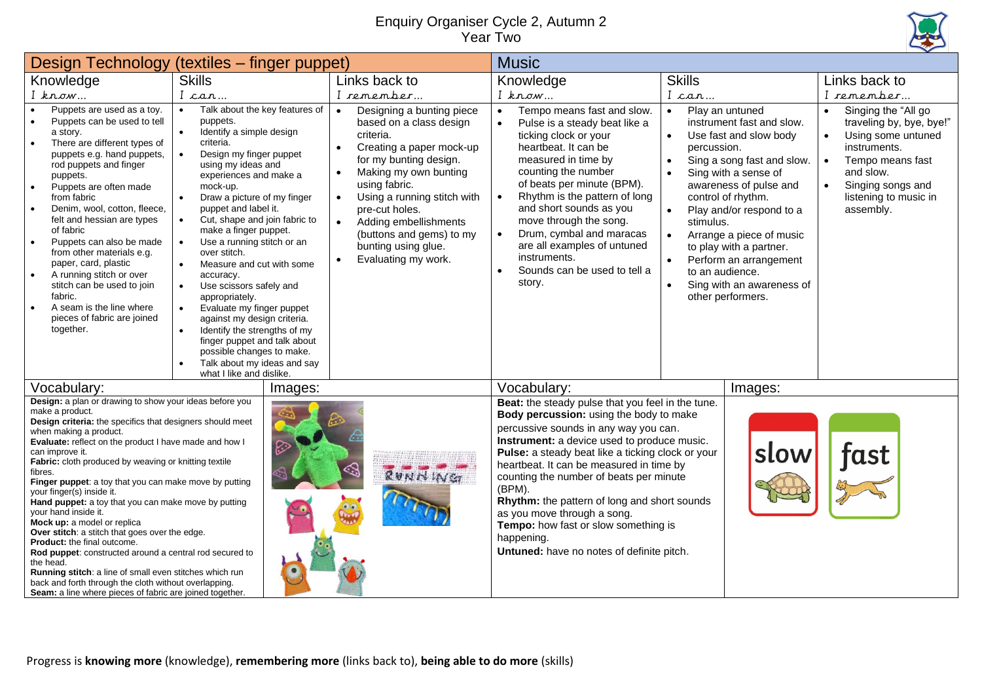## Enquiry Organiser Cycle 2, Autumn 2 Year Two



|                                                                                                                                                                                                                                                                                                                                                                                                                                                                                                                                                                                                                                                                                                                                                                                                                                                                   | Design Technology (textiles - finger puppet)                                                                                                                                                                                                                                                                                                                                                                                                                                                                                                                                                                                                                                                                                                                                           |                                                                                                                                                                                                                                                                                                                                                                                                     | <b>Music</b>                                                                                                                                                                                                                                                                                                                                                                                                                                                                                                                 |                                                                                                                                                                                                                                                                                                                                                                                                                      |                                                                                                                                                                                                                                       |  |
|-------------------------------------------------------------------------------------------------------------------------------------------------------------------------------------------------------------------------------------------------------------------------------------------------------------------------------------------------------------------------------------------------------------------------------------------------------------------------------------------------------------------------------------------------------------------------------------------------------------------------------------------------------------------------------------------------------------------------------------------------------------------------------------------------------------------------------------------------------------------|----------------------------------------------------------------------------------------------------------------------------------------------------------------------------------------------------------------------------------------------------------------------------------------------------------------------------------------------------------------------------------------------------------------------------------------------------------------------------------------------------------------------------------------------------------------------------------------------------------------------------------------------------------------------------------------------------------------------------------------------------------------------------------------|-----------------------------------------------------------------------------------------------------------------------------------------------------------------------------------------------------------------------------------------------------------------------------------------------------------------------------------------------------------------------------------------------------|------------------------------------------------------------------------------------------------------------------------------------------------------------------------------------------------------------------------------------------------------------------------------------------------------------------------------------------------------------------------------------------------------------------------------------------------------------------------------------------------------------------------------|----------------------------------------------------------------------------------------------------------------------------------------------------------------------------------------------------------------------------------------------------------------------------------------------------------------------------------------------------------------------------------------------------------------------|---------------------------------------------------------------------------------------------------------------------------------------------------------------------------------------------------------------------------------------|--|
| Knowledge                                                                                                                                                                                                                                                                                                                                                                                                                                                                                                                                                                                                                                                                                                                                                                                                                                                         | <b>Skills</b>                                                                                                                                                                                                                                                                                                                                                                                                                                                                                                                                                                                                                                                                                                                                                                          | Links back to                                                                                                                                                                                                                                                                                                                                                                                       | Knowledge                                                                                                                                                                                                                                                                                                                                                                                                                                                                                                                    | <b>Skills</b>                                                                                                                                                                                                                                                                                                                                                                                                        | Links back to                                                                                                                                                                                                                         |  |
| $I$ know                                                                                                                                                                                                                                                                                                                                                                                                                                                                                                                                                                                                                                                                                                                                                                                                                                                          | I can                                                                                                                                                                                                                                                                                                                                                                                                                                                                                                                                                                                                                                                                                                                                                                                  | I remember                                                                                                                                                                                                                                                                                                                                                                                          | $I$ know                                                                                                                                                                                                                                                                                                                                                                                                                                                                                                                     | I can                                                                                                                                                                                                                                                                                                                                                                                                                | I remember                                                                                                                                                                                                                            |  |
| Puppets are used as a toy.<br>Puppets can be used to tell<br>a story.<br>There are different types of<br>puppets e.g. hand puppets,<br>rod puppets and finger<br>puppets.<br>Puppets are often made<br>from fabric<br>Denim, wool, cotton, fleece,<br>felt and hessian are types<br>of fabric<br>Puppets can also be made<br>$\bullet$<br>from other materials e.g.<br>paper, card, plastic<br>A running stitch or over<br>stitch can be used to join<br>fabric.<br>A seam is the line where<br>pieces of fabric are joined<br>together.                                                                                                                                                                                                                                                                                                                          | Talk about the key features of<br>$\bullet$<br>puppets.<br>Identify a simple design<br>$\bullet$<br>criteria.<br>$\bullet$<br>Design my finger puppet<br>using my ideas and<br>experiences and make a<br>mock-up.<br>$\bullet$<br>Draw a picture of my finger<br>puppet and label it.<br>$\bullet$<br>Cut, shape and join fabric to<br>make a finger puppet.<br>Use a running stitch or an<br>$\bullet$<br>over stitch.<br>Measure and cut with some<br>$\bullet$<br>accuracy.<br>Use scissors safely and<br>$\bullet$<br>appropriately.<br>Evaluate my finger puppet<br>$\bullet$<br>against my design criteria.<br>Identify the strengths of my<br>$\bullet$<br>finger puppet and talk about<br>possible changes to make.<br>Talk about my ideas and say<br>what I like and dislike. | Designing a bunting piece<br>$\bullet$<br>based on a class design<br>criteria.<br>Creating a paper mock-up<br>$\bullet$<br>for my bunting design.<br>Making my own bunting<br>$\bullet$<br>using fabric.<br>Using a running stitch with<br>$\bullet$<br>pre-cut holes.<br>Adding embellishments<br>$\bullet$<br>(buttons and gems) to my<br>bunting using glue.<br>Evaluating my work.<br>$\bullet$ | Tempo means fast and slow.<br>$\bullet$<br>Pulse is a steady beat like a<br>ticking clock or your<br>heartbeat. It can be<br>measured in time by<br>counting the number<br>of beats per minute (BPM).<br>Rhythm is the pattern of long<br>and short sounds as you<br>move through the song.<br>Drum, cymbal and maracas<br>are all examples of untuned<br>instruments.<br>Sounds can be used to tell a<br>story.                                                                                                             | Play an untuned<br>$\bullet$<br>instrument fast and slow.<br>Use fast and slow body<br>percussion.<br>Sing a song fast and slow.<br>Sing with a sense of<br>awareness of pulse and<br>control of rhythm.<br>Play and/or respond to a<br>stimulus.<br>Arrange a piece of music<br>$\bullet$<br>to play with a partner.<br>Perform an arrangement<br>to an audience.<br>Sing with an awareness of<br>other performers. | Singing the "All go<br>$\bullet$<br>traveling by, bye, bye!"<br>Using some untuned<br>$\bullet$<br>instruments.<br>Tempo means fast<br>$\bullet$<br>and slow.<br>Singing songs and<br>$\bullet$<br>listening to music in<br>assembly. |  |
| Vocabulary:                                                                                                                                                                                                                                                                                                                                                                                                                                                                                                                                                                                                                                                                                                                                                                                                                                                       | Images:                                                                                                                                                                                                                                                                                                                                                                                                                                                                                                                                                                                                                                                                                                                                                                                |                                                                                                                                                                                                                                                                                                                                                                                                     | Vocabulary:                                                                                                                                                                                                                                                                                                                                                                                                                                                                                                                  | Images:                                                                                                                                                                                                                                                                                                                                                                                                              |                                                                                                                                                                                                                                       |  |
| Design: a plan or drawing to show your ideas before you<br>make a product.<br>Design criteria: the specifics that designers should meet<br>when making a product.<br>Evaluate: reflect on the product I have made and how I<br>can improve it.<br>Fabric: cloth produced by weaving or knitting textile<br>fibres.<br>Finger puppet: a toy that you can make move by putting<br>your finger(s) inside it.<br>Hand puppet: a toy that you can make move by putting<br>your hand inside it.<br>Mock up: a model or replica<br>Over stitch: a stitch that goes over the edge.<br>Product: the final outcome.<br>Rod puppet: constructed around a central rod secured to<br>the head.<br>Running stitch: a line of small even stitches which run<br>back and forth through the cloth without overlapping.<br>Seam: a line where pieces of fabric are joined together. |                                                                                                                                                                                                                                                                                                                                                                                                                                                                                                                                                                                                                                                                                                                                                                                        | RUNNINGT                                                                                                                                                                                                                                                                                                                                                                                            | Beat: the steady pulse that you feel in the tune.<br>Body percussion: using the body to make<br>percussive sounds in any way you can.<br>Instrument: a device used to produce music.<br>Pulse: a steady beat like a ticking clock or your<br>heartbeat. It can be measured in time by<br>counting the number of beats per minute<br>(BPM).<br>Rhythm: the pattern of long and short sounds<br>as you move through a song.<br>Tempo: how fast or slow something is<br>happening.<br>Untuned: have no notes of definite pitch. | slow                                                                                                                                                                                                                                                                                                                                                                                                                 | fast                                                                                                                                                                                                                                  |  |

Progress is **knowing more** (knowledge), **remembering more** (links back to), **being able to do more** (skills)